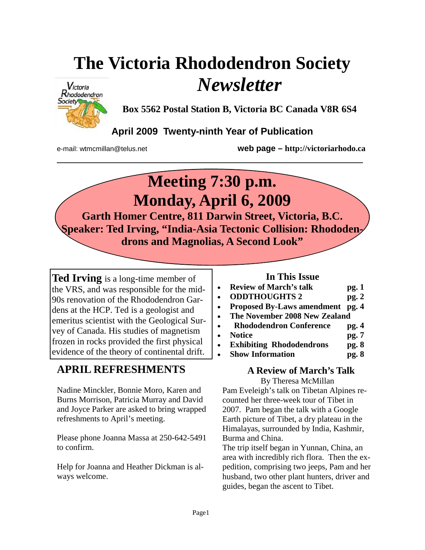# **The Victoria Rhododendron Society**  *Newsletter*



**Box 5562 Postal Station B, Victoria BC Canada V8R 6S4** 

# **April 2009 Twenty-ninth Year of Publication**

**\_\_\_\_\_\_\_\_\_\_\_\_\_\_\_\_\_\_\_\_\_\_\_\_\_\_\_\_\_\_\_\_\_\_\_\_\_\_\_\_\_\_\_\_\_\_\_\_\_\_\_\_\_\_\_\_\_\_\_\_\_\_\_** 

e-mail: wtmcmillan@telus.net **web page – http://victoriarhodo.ca**

# **Meeting 7:30 p.m. Monday, April 6, 2009**

**Garth Homer Centre, 811 Darwin Street, Victoria, B.C. Speaker: Ted Irving, "India-Asia Tectonic Collision: Rhododendrons and Magnolias, A Second Look"** 

**Ted Irving** is a long-time member of the VRS, and was responsible for the mid-90s renovation of the Rhododendron Gardens at the HCP. Ted is a geologist and emeritus scientist with the Geological Survey of Canada. His studies of magnetism frozen in rocks provided the first physical evidence of the theory of continental drift.

# **APRIL REFRESHMENTS**

Nadine Minckler, Bonnie Moro, Karen and Burns Morrison, Patricia Murray and David and Joyce Parker are asked to bring wrapped refreshments to April's meeting.

Please phone Joanna Massa at 250-642-5491 to confirm.

Help for Joanna and Heather Dickman is always welcome.

# **In This Issue**

- **Review of March's talk pg. 1**
- **ODDTHOUGHTS 2 pg. 2**
- **Proposed By-Laws amendment pg. 4**
- **The November 2008 New Zealand**
- • **Rhododendron Conference pg. 4**
- **Notice pg. 7**
- **Exhibiting Rhododendrons pg. 8**
- **Show Information pg. 8**

## **A Review of March's Talk**  By Theresa McMillan

Pam Eveleigh's talk on Tibetan Alpines recounted her three-week tour of Tibet in 2007. Pam began the talk with a Google Earth picture of Tibet, a dry plateau in the Himalayas, surrounded by India, Kashmir, Burma and China.

The trip itself began in Yunnan, China, an area with incredibly rich flora. Then the expedition, comprising two jeeps, Pam and her husband, two other plant hunters, driver and guides, began the ascent to Tibet.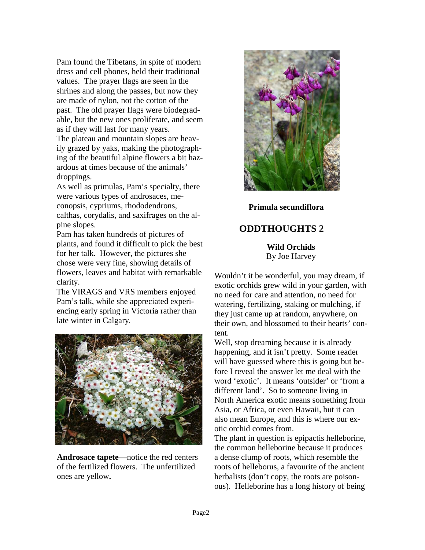Pam found the Tibetans, in spite of modern dress and cell phones, held their traditional values. The prayer flags are seen in the shrines and along the passes, but now they are made of nylon, not the cotton of the past. The old prayer flags were biodegradable, but the new ones proliferate, and seem as if they will last for many years. The plateau and mountain slopes are heavily grazed by yaks, making the photographing of the beautiful alpine flowers a bit hazardous at times because of the animals' droppings.

As well as primulas, Pam's specialty, there were various types of androsaces, meconopsis, cypriums, rhododendrons, calthas, corydalis, and saxifrages on the alpine slopes.

Pam has taken hundreds of pictures of plants, and found it difficult to pick the best for her talk. However, the pictures she chose were very fine, showing details of flowers, leaves and habitat with remarkable clarity.

The VIRAGS and VRS members enjoyed Pam's talk, while she appreciated experiencing early spring in Victoria rather than late winter in Calgary.



**Androsace tapete—**notice the red centers of the fertilized flowers. The unfertilized ones are yellow**.** 



**Primula secundiflora** 

# **ODDTHOUGHTS 2**

**Wild Orchids**  By Joe Harvey

Wouldn't it be wonderful, you may dream, if exotic orchids grew wild in your garden, with no need for care and attention, no need for watering, fertilizing, staking or mulching, if they just came up at random, anywhere, on their own, and blossomed to their hearts' content.

Well, stop dreaming because it is already happening, and it isn't pretty. Some reader will have guessed where this is going but before I reveal the answer let me deal with the word 'exotic'. It means 'outsider' or 'from a different land'. So to someone living in North America exotic means something from Asia, or Africa, or even Hawaii, but it can also mean Europe, and this is where our exotic orchid comes from.

The plant in question is epipactis helleborine, the common helleborine because it produces a dense clump of roots, which resemble the roots of helleborus, a favourite of the ancient herbalists (don't copy, the roots are poisonous). Helleborine has a long history of being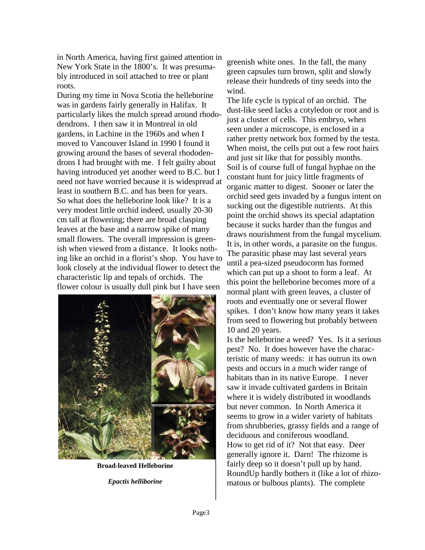in North America, having first gained attention in New York State in the 1800's. It was presumably introduced in soil attached to tree or plant roots.

During my time in Nova Scotia the helleborine was in gardens fairly generally in Halifax. It particularly likes the mulch spread around rhododendrons. I then saw it in Montreal in old gardens, in Lachine in the 1960s and when I moved to Vancouver Island in 1990 I found it growing around the bases of several rhododendrons I had brought with me. I felt guilty about having introduced yet another weed to B.C. but I need not have worried because it is widespread at least in southern B.C. and has been for years. So what does the helleborine look like? It is a very modest little orchid indeed, usually 20-30 cm tall at flowering; there are broad clasping leaves at the base and a narrow spike of many small flowers. The overall impression is greenish when viewed from a distance. It looks nothing like an orchid in a florist's shop. You have to look closely at the individual flower to detect the characteristic lip and tepals of orchids. The flower colour is usually dull pink but I have seen



**Broad-leaved Helleborine** 

*Epactis helliborine* 

greenish white ones. In the fall, the many green capsules turn brown, split and slowly release their hundreds of tiny seeds into the wind.

The life cycle is typical of an orchid. The dust-like seed lacks a cotyledon or root and is just a cluster of cells. This embryo, when seen under a microscope, is enclosed in a rather pretty network box formed by the testa. When moist, the cells put out a few root hairs and just sit like that for possibly months. Soil is of course full of fungal hyphae on the constant hunt for juicy little fragments of organic matter to digest. Sooner or later the orchid seed gets invaded by a fungus intent on sucking out the digestible nutrients. At this point the orchid shows its special adaptation because it sucks harder than the fungus and draws nourishment from the fungal mycelium. It is, in other words, a parasite on the fungus. The parasitic phase may last several years until a pea-sized pseudocorm has formed which can put up a shoot to form a leaf. At this point the helleborine becomes more of a normal plant with green leaves, a cluster of roots and eventually one or several flower spikes. I don't know how many years it takes from seed to flowering but probably between 10 and 20 years.

Is the helleborine a weed? Yes. Is it a serious pest? No. It does however have the characteristic of many weeds: it has outrun its own pests and occurs in a much wider range of habitats than in its native Europe. I never saw it invade cultivated gardens in Britain where it is widely distributed in woodlands but never common. In North America it seems to grow in a wider variety of habitats from shrubberies, grassy fields and a range of deciduous and coniferous woodland. How to get rid of it? Not that easy. Deer generally ignore it. Darn! The rhizome is fairly deep so it doesn't pull up by hand. RoundUp hardly bothers it (like a lot of rhizomatous or bulbous plants). The complete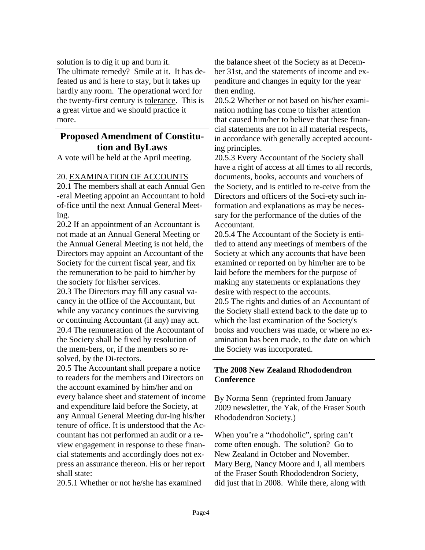solution is to dig it up and burn it.

The ultimate remedy? Smile at it. It has defeated us and is here to stay, but it takes up hardly any room. The operational word for the twenty-first century is tolerance. This is a great virtue and we should practice it more.

# **Proposed Amendment of Constitution and ByLaws**

A vote will be held at the April meeting.

#### 20. EXAMINATION OF ACCOUNTS

20.1 The members shall at each Annual Gen -eral Meeting appoint an Accountant to hold of-fice until the next Annual General Meeting.

20.2 If an appointment of an Accountant is not made at an Annual General Meeting or the Annual General Meeting is not held, the Directors may appoint an Accountant of the Society for the current fiscal year, and fix the remuneration to be paid to him/her by the society for his/her services.

20.3 The Directors may fill any casual vacancy in the office of the Accountant, but while any vacancy continues the surviving or continuing Accountant (if any) may act. 20.4 The remuneration of the Accountant of the Society shall be fixed by resolution of the mem-bers, or, if the members so resolved, by the Di-rectors.

20.5 The Accountant shall prepare a notice to readers for the members and Directors on the account examined by him/her and on every balance sheet and statement of income and expenditure laid before the Society, at any Annual General Meeting dur-ing his/her tenure of office. It is understood that the Accountant has not performed an audit or a review engagement in response to these financial statements and accordingly does not express an assurance thereon. His or her report shall state:

20.5.1 Whether or not he/she has examined

the balance sheet of the Society as at December 31st, and the statements of income and expenditure and changes in equity for the year then ending.

20.5.2 Whether or not based on his/her examination nothing has come to his/her attention that caused him/her to believe that these financial statements are not in all material respects, in accordance with generally accepted accounting principles.

20.5.3 Every Accountant of the Society shall have a right of access at all times to all records, documents, books, accounts and vouchers of the Society, and is entitled to re-ceive from the Directors and officers of the Soci-ety such information and explanations as may be necessary for the performance of the duties of the Accountant.

20.5.4 The Accountant of the Society is entitled to attend any meetings of members of the Society at which any accounts that have been examined or reported on by him/her are to be laid before the members for the purpose of making any statements or explanations they desire with respect to the accounts. 20.5 The rights and duties of an Accountant of the Society shall extend back to the date up to which the last examination of the Society's books and vouchers was made, or where no examination has been made, to the date on which

the Society was incorporated.

## **The 2008 New Zealand Rhododendron Conference**

By Norma Senn (reprinted from January 2009 newsletter, the Yak, of the Fraser South Rhododendron Society.)

When you're a "rhodoholic", spring can't come often enough. The solution? Go to New Zealand in October and November. Mary Berg, Nancy Moore and I, all members of the Fraser South Rhododendron Society, did just that in 2008. While there, along with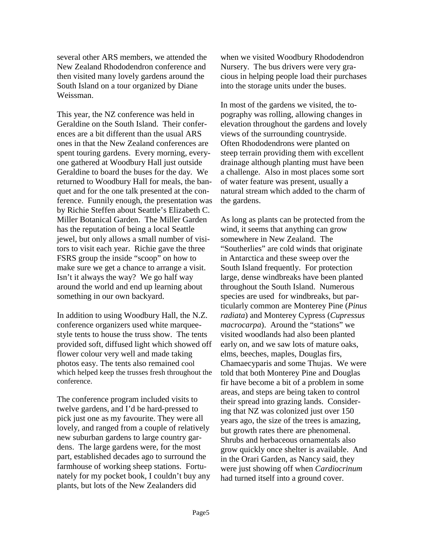several other ARS members, we attended the New Zealand Rhododendron conference and then visited many lovely gardens around the South Island on a tour organized by Diane Weissman.

This year, the NZ conference was held in Geraldine on the South Island. Their conferences are a bit different than the usual ARS ones in that the New Zealand conferences are spent touring gardens. Every morning, everyone gathered at Woodbury Hall just outside Geraldine to board the buses for the day. We returned to Woodbury Hall for meals, the banquet and for the one talk presented at the conference. Funnily enough, the presentation was by Richie Steffen about Seattle's Elizabeth C. Miller Botanical Garden. The Miller Garden has the reputation of being a local Seattle jewel, but only allows a small number of visitors to visit each year. Richie gave the three FSRS group the inside "scoop" on how to make sure we get a chance to arrange a visit. Isn't it always the way? We go half way around the world and end up learning about something in our own backyard.

In addition to using Woodbury Hall, the N.Z. conference organizers used white marqueestyle tents to house the truss show. The tents provided soft, diffused light which showed off flower colour very well and made taking photos easy. The tents also remained cool which helped keep the trusses fresh throughout the conference.

The conference program included visits to twelve gardens, and I'd be hard-pressed to pick just one as my favourite. They were all lovely, and ranged from a couple of relatively new suburban gardens to large country gardens. The large gardens were, for the most part, established decades ago to surround the farmhouse of working sheep stations. Fortunately for my pocket book, I couldn't buy any plants, but lots of the New Zealanders did

when we visited Woodbury Rhododendron Nursery. The bus drivers were very gracious in helping people load their purchases into the storage units under the buses.

In most of the gardens we visited, the topography was rolling, allowing changes in elevation throughout the gardens and lovely views of the surrounding countryside. Often Rhododendrons were planted on steep terrain providing them with excellent drainage although planting must have been a challenge. Also in most places some sort of water feature was present, usually a natural stream which added to the charm of the gardens.

As long as plants can be protected from the wind, it seems that anything can grow somewhere in New Zealand. The "Southerlies" are cold winds that originate in Antarctica and these sweep over the South Island frequently. For protection large, dense windbreaks have been planted throughout the South Island. Numerous species are used for windbreaks, but particularly common are Monterey Pine (*Pinus radiata*) and Monterey Cypress (*Cupressus macrocarpa*). Around the "stations" we visited woodlands had also been planted early on, and we saw lots of mature oaks, elms, beeches, maples, Douglas firs, Chamaecyparis and some Thujas. We were told that both Monterey Pine and Douglas fir have become a bit of a problem in some areas, and steps are being taken to control their spread into grazing lands. Considering that NZ was colonized just over 150 years ago, the size of the trees is amazing, but growth rates there are phenomenal. Shrubs and herbaceous ornamentals also grow quickly once shelter is available. And in the Orari Garden, as Nancy said, they were just showing off when *Cardiocrinum* had turned itself into a ground cover.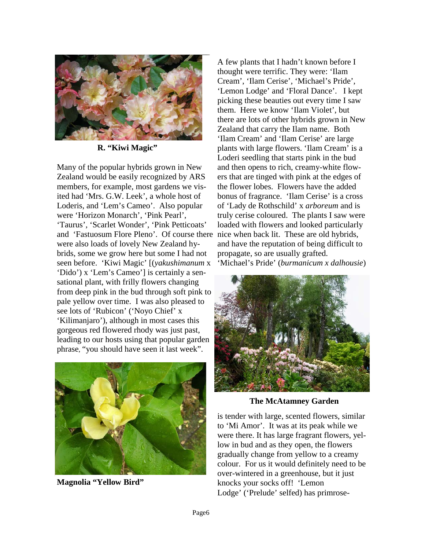

**R. "Kiwi Magic"** 

Many of the popular hybrids grown in New Zealand would be easily recognized by ARS members, for example, most gardens we visited had 'Mrs. G.W. Leek', a whole host of Loderis, and 'Lem's Cameo'. Also popular were 'Horizon Monarch', 'Pink Pearl', 'Taurus', 'Scarlet Wonder', 'Pink Petticoats' and 'Fastuosum Flore Pleno'. Of course there nice when back lit. These are old hybrids, were also loads of lovely New Zealand hybrids, some we grow here but some I had not seen before. 'Kiwi Magic' [(*yakushimanum* x 'Dido') x 'Lem's Cameo'] is certainly a sensational plant, with frilly flowers changing from deep pink in the bud through soft pink to pale yellow over time. I was also pleased to see lots of 'Rubicon' ('Noyo Chief' x 'Kilimanjaro'), although in most cases this gorgeous red flowered rhody was just past, leading to our hosts using that popular garden phrase, "you should have seen it last week".



**Magnolia "Yellow Bird"** 

A few plants that I hadn't known before I thought were terrific. They were: 'Ilam Cream', 'Ilam Cerise', 'Michael's Pride', 'Lemon Lodge' and 'Floral Dance'. I kept picking these beauties out every time I saw them. Here we know 'Ilam Violet', but there are lots of other hybrids grown in New Zealand that carry the Ilam name. Both 'Ilam Cream' and 'Ilam Cerise' are large plants with large flowers. 'Ilam Cream' is a Loderi seedling that starts pink in the bud and then opens to rich, creamy-white flowers that are tinged with pink at the edges of the flower lobes. Flowers have the added bonus of fragrance. 'Ilam Cerise' is a cross of 'Lady de Rothschild' x *arboreum* and is truly cerise coloured. The plants I saw were loaded with flowers and looked particularly and have the reputation of being difficult to propagate, so are usually grafted. 'Michael's Pride' (*burmanicum x dalhousie*)



**The McAtamney Garden** 

is tender with large, scented flowers, similar to 'Mi Amor'. It was at its peak while we were there. It has large fragrant flowers, yellow in bud and as they open, the flowers gradually change from yellow to a creamy colour. For us it would definitely need to be over-wintered in a greenhouse, but it just knocks your socks off! 'Lemon Lodge' ('Prelude' selfed) has primrose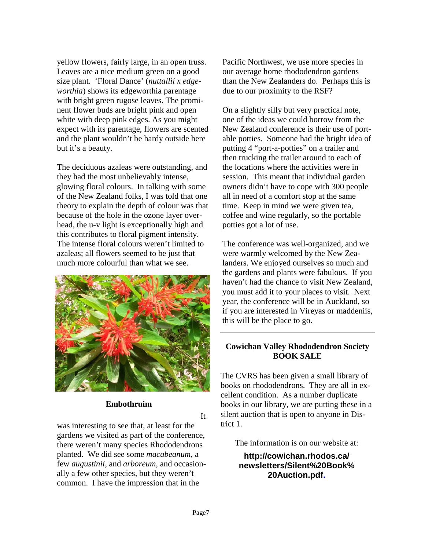yellow flowers, fairly large, in an open truss. Leaves are a nice medium green on a good size plant. 'Floral Dance' (*nuttallii x edgeworthia*) shows its edgeworthia parentage with bright green rugose leaves. The prominent flower buds are bright pink and open white with deep pink edges. As you might expect with its parentage, flowers are scented and the plant wouldn't be hardy outside here but it's a beauty.

The deciduous azaleas were outstanding, and they had the most unbelievably intense, glowing floral colours. In talking with some of the New Zealand folks, I was told that one theory to explain the depth of colour was that because of the hole in the ozone layer overhead, the u-v light is exceptionally high and this contributes to floral pigment intensity. The intense floral colours weren't limited to azaleas; all flowers seemed to be just that much more colourful than what we see.



#### **Embothruim**

It

was interesting to see that, at least for the gardens we visited as part of the conference, there weren't many species Rhododendrons planted. We did see some *macabeanum*, a few *augustinii*, and *arboreum*, and occasionally a few other species, but they weren't common. I have the impression that in the

Pacific Northwest, we use more species in our average home rhododendron gardens than the New Zealanders do. Perhaps this is due to our proximity to the RSF?

On a slightly silly but very practical note, one of the ideas we could borrow from the New Zealand conference is their use of portable potties. Someone had the bright idea of putting 4 "port-a-potties" on a trailer and then trucking the trailer around to each of the locations where the activities were in session. This meant that individual garden owners didn't have to cope with 300 people all in need of a comfort stop at the same time. Keep in mind we were given tea, coffee and wine regularly, so the portable potties got a lot of use.

The conference was well-organized, and we were warmly welcomed by the New Zealanders. We enjoyed ourselves so much and the gardens and plants were fabulous. If you haven't had the chance to visit New Zealand, you must add it to your places to visit. Next year, the conference will be in Auckland, so if you are interested in Vireyas or maddeniis, this will be the place to go.

## **Cowichan Valley Rhododendron Society BOOK SALE**

The CVRS has been given a small library of books on rhododendrons. They are all in excellent condition. As a number duplicate books in our library, we are putting these in a silent auction that is open to anyone in District 1.

The information is on our website at:

**http://cowichan.rhodos.ca/ newsletters/Silent%20Book% 20Auction.pdf.**